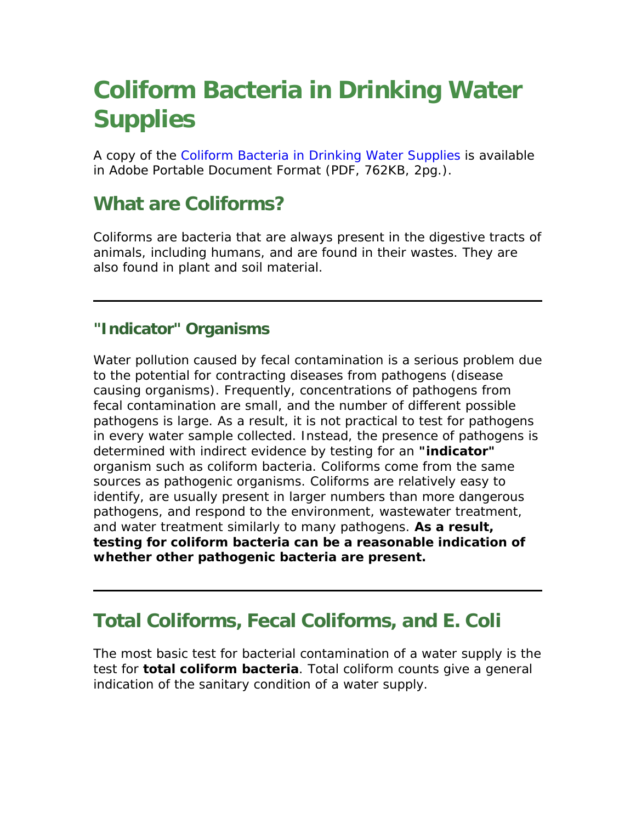# **Coliform Bacteria in Drinking Water Supplies**

A copy of the [Coliform Bacteria in Drinking Water Supplies](http://www.health.state.ny.us/nysdoh/water/docs/coliform_bacteria.pdf) is available in Adobe Portable Document Format (PDF, 762KB, 2pg.).

### **What are Coliforms?**

Coliforms are bacteria that are always present in the digestive tracts of animals, including humans, and are found in their wastes. They are also found in plant and soil material.

#### **"Indicator" Organisms**

Water pollution caused by fecal contamination is a serious problem due to the potential for contracting diseases from pathogens (disease causing organisms). Frequently, concentrations of pathogens from fecal contamination are small, and the number of different possible pathogens is large. As a result, it is not practical to test for pathogens in every water sample collected. Instead, the presence of pathogens is determined with indirect evidence by testing for an **"indicator"** organism such as coliform bacteria. Coliforms come from the same sources as pathogenic organisms. Coliforms are relatively easy to identify, are usually present in larger numbers than more dangerous pathogens, and respond to the environment, wastewater treatment, and water treatment similarly to many pathogens. **As a result, testing for coliform bacteria can be a reasonable indication of whether other pathogenic bacteria are present.**

### **Total Coliforms, Fecal Coliforms, and E. Coli**

The most basic test for bacterial contamination of a water supply is the test for **total coliform bacteria**. Total coliform counts give a general indication of the sanitary condition of a water supply.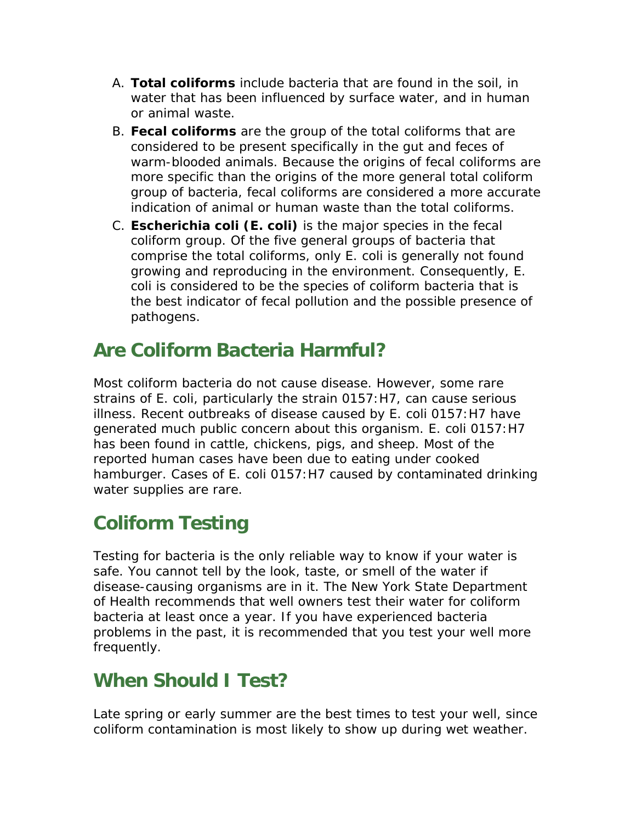- A. **Total coliforms** include bacteria that are found in the soil, in water that has been influenced by surface water, and in human or animal waste.
- B. **Fecal coliforms** are the group of the total coliforms that are considered to be present specifically in the gut and feces of warm-blooded animals. Because the origins of fecal coliforms are more specific than the origins of the more general total coliform group of bacteria, fecal coliforms are considered a more accurate indication of animal or human waste than the total coliforms.
- C. **Escherichia coli (E. coli)** is the major species in the fecal coliform group. Of the five general groups of bacteria that comprise the total coliforms, only E. coli is generally not found growing and reproducing in the environment. Consequently, E. coli is considered to be the species of coliform bacteria that is the best indicator of fecal pollution and the possible presence of pathogens.

### **Are Coliform Bacteria Harmful?**

Most coliform bacteria do not cause disease. However, some rare strains of E. coli, particularly the strain 0157:H7, can cause serious illness. Recent outbreaks of disease caused by E. coli 0157:H7 have generated much public concern about this organism. E. coli 0157:H7 has been found in cattle, chickens, pigs, and sheep. Most of the reported human cases have been due to eating under cooked hamburger. Cases of E. coli 0157:H7 caused by contaminated drinking water supplies are rare.

# **Coliform Testing**

Testing for bacteria is the only reliable way to know if your water is safe. You cannot tell by the look, taste, or smell of the water if disease-causing organisms are in it. The New York State Department of Health recommends that well owners test their water for coliform bacteria at least once a year. If you have experienced bacteria problems in the past, it is recommended that you test your well more frequently.

# **When Should I Test?**

Late spring or early summer are the best times to test your well, since coliform contamination is most likely to show up during wet weather.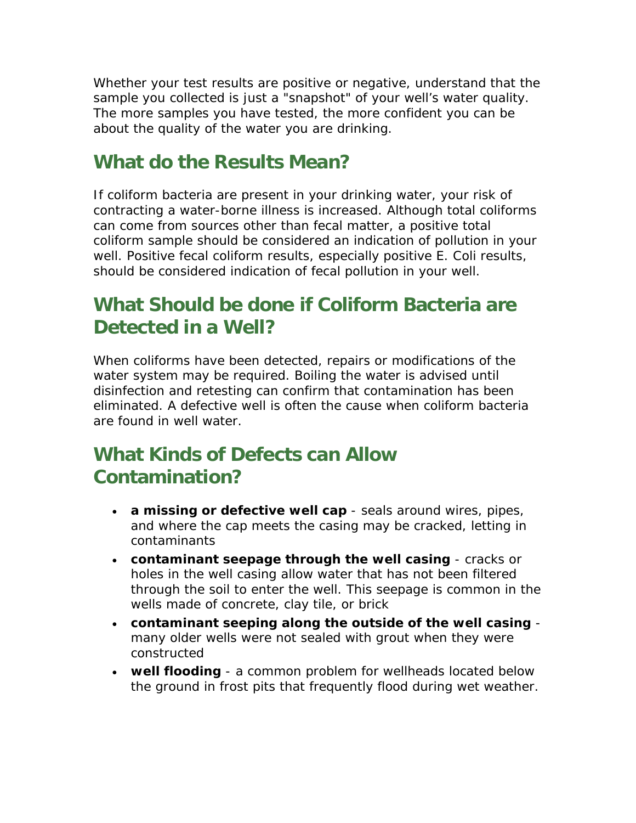Whether your test results are positive or negative, understand that the sample you collected is just a "snapshot" of your well's water quality. The more samples you have tested, the more confident you can be about the quality of the water you are drinking.

#### **What do the Results Mean?**

If coliform bacteria are present in your drinking water, your risk of contracting a water-borne illness is increased. Although total coliforms can come from sources other than fecal matter, a positive total coliform sample should be considered an indication of pollution in your well. Positive fecal coliform results, especially positive E. Coli results, should be considered indication of fecal pollution in your well.

## **What Should be done if Coliform Bacteria are Detected in a Well?**

When coliforms have been detected, repairs or modifications of the water system may be required. Boiling the water is advised until disinfection and retesting can confirm that contamination has been eliminated. A defective well is often the cause when coliform bacteria are found in well water.

# **What Kinds of Defects can Allow Contamination?**

- **a missing or defective well cap** seals around wires, pipes, and where the cap meets the casing may be cracked, letting in contaminants
- **contaminant seepage through the well casing** cracks or holes in the well casing allow water that has not been filtered through the soil to enter the well. This seepage is common in the wells made of concrete, clay tile, or brick
- **contaminant seeping along the outside of the well casing** many older wells were not sealed with grout when they were constructed
- **well flooding** a common problem for wellheads located below the ground in frost pits that frequently flood during wet weather.